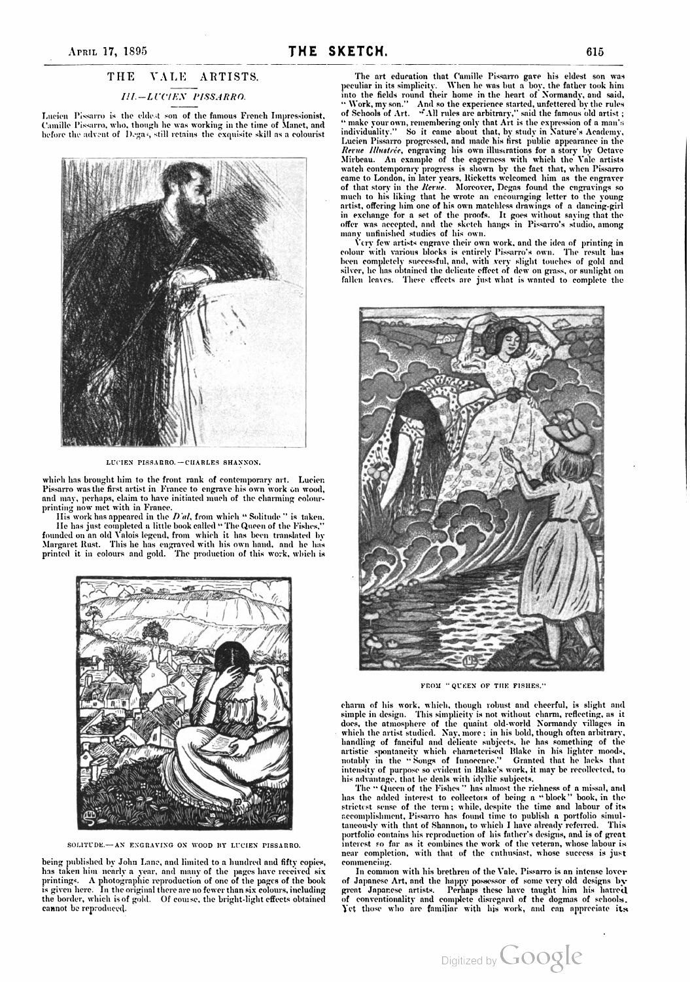## THE VALE ARTISTS.

## 111. - LICIEN PISSARRO.

Lucien Pissarro is the eldest son of the famous French Impressionist, Camille Pissarro, who, though he was working in the time of Manet, and before the advent of Degas, still retains the exquisite skill as <sup>a</sup> colourist



LUCIEN PISSARRO. - CHARLES SHANNON.

which has brought him to the front rank of contemporary art. Lucien Pissarro was the first artist in France to engrave his own work on wood, and may, perhaps, claim to have initiated much of the charming colourand may, perhaps, claim to have initiated much of the charming colour-<br>printing now met with in France.

His work has appeared in the  $D$  al, from which "Solitude" is taken. IIe has just completed <sup>a</sup> little book called " The Queen of the Fishes," founded on an old Valois legend, from which it has been translated by Margaret Rust. This he has engraved with his own hand, and he has<br>printed it in colours and gold. The production of this work, which is



SOLITUDE.- AN ENGRAVING ON WOOD BY LUCIEN PISSARRO.

being published by John Lane, and limited to a hundred and fifty copies, has taken hin nearly a year, and many of the pages have received six printings. A photographic reproduction of one of the pages of the book is given here. In the original there are no fewer than six colours,including the border, which is of gold. Of course, the bright-light effects obtained cannot be reproduced.

The art education that Camille Pissarro gave his eldest son was peculiar in its simplicity. When he was but a boy, the father took hin into the fields round their home in the heart of Normandy, and said, " Work, my son." And so the experience started, unfettered by the rules of Schools of Art.  $\mathcal{A}$  all rules are arbitrary," said the famous old artist;  $\cdots$  make your own, remembering only that Art is the expression of a man's individuality." So it came about that, by study in Nature's Academy, Lucien Pissarro progressed, and made his first public appearance in the Rerue Ilustrée, engraving his own illustrations for <sup>a</sup> story by Octave Mirbeau . An example of the eagerness with which the Vale artists watch contemporary progress is shown by the fact that, when Pissarro came to London, in later years, Ricketts welcomed him as the engraver of that story in the Rerue. Moreover, Degas found the cngravings so much to his liking that he wrote an encouraging letter to the young artist, offering him one of his own matchless drawings of a dancing-girl in exchange for a set of the proofs. It goes without saying that the offer was accepted, and the sketch hangs in Pissarro's studio, among<br>many unfinished studies of his own.

l'ery few artists engrave their own work, and the idea of printing in colour with various blocks is entirely Pissarro's own . The result has been completely successful, and, with very slight touches of gold and<br>silver, he has obtained the delicate effect of dew on grass, or sunlight on fallen leaves. These effects are just what is wanted to complete the



FROM " OUEEN OF THE FISHES."

charm of his work, which, though robust and cheerful, is slight and simple in design. This simplicity is not without charm, reflecting, as it does, the atmosphere of the quaint old -world Normandy villages in which the artist studied.  $\, {\rm Nay}, {\rm more}$  ; in his bold, though often arbitrary, handling of fanciful and delicate subjects, he has something of the artistic spontaneity which characterised Blake in his lighter moods,<br>notably in the "Songs of Innocence." Granted that he lacks that intensity in the bound of runneline of solid contract the solid intensity of purpose so evident in Blake's work, it may be recollected, to

his advantage, that he deals with idyllic subjects.<br>The "Queen of the Fishes " has almost the richness of a missal, and has the added interest to collectors of being <sup>a</sup> " block " book , in the strictest sense of the term ; while, despite the time and labour of its accomplislıment, Pissarro has found time to publish a portfolio simul taneously with that of Shannon, to which I have already referred. This portfolio contains his reproduction of his father's designs, and is of great interest so far as it combines the work of the veteran, whose labour is near completion, with that of the enthusiast, whose success is just commencing.

In common with his brethren of the Vale, Pissarro is an intense lover of Japanese Art, and the happy possessor of some very old designs by great Japanese artists. Perhaps these have taught him his hatred of conventionality and complete disregard of the dogmas of schools. Yet those who are familiar with his work , and can appreciate its